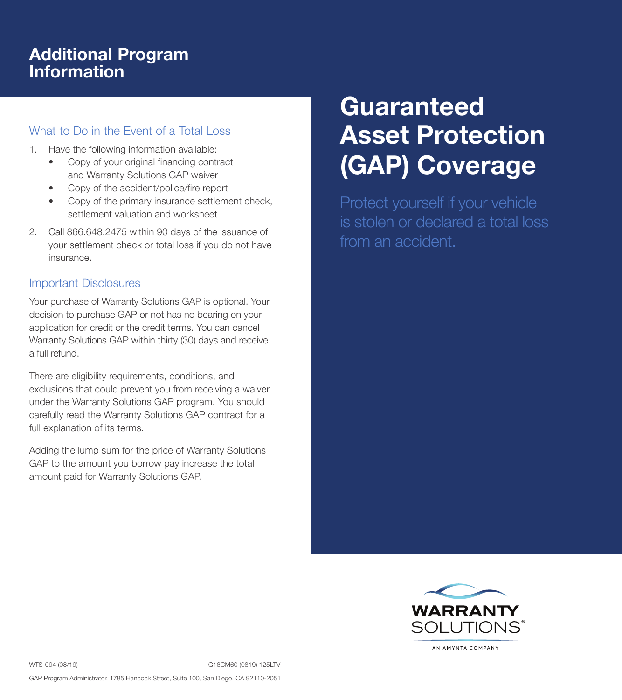## Additional Program Information

## What to Do in the Event of a Total Loss

- 1. Have the following information available:
	- Copy of your original financing contract and Warranty Solutions GAP waiver
	- Copy of the accident/police/fire report
	- Copy of the primary insurance settlement check, settlement valuation and worksheet
- 2. Call 866.648.2475 within 90 days of the issuance of your settlement check or total loss if you do not have insurance.

## Important Disclosures

Your purchase of Warranty Solutions GAP is optional. Your decision to purchase GAP or not has no bearing on your application for credit or the credit terms. You can cancel Warranty Solutions GAP within thirty (30) days and receive a full refund.

There are eligibility requirements, conditions, and exclusions that could prevent you from receiving a waiver under the Warranty Solutions GAP program. You should carefully read the Warranty Solutions GAP contract for a full explanation of its terms.

Adding the lump sum for the price of Warranty Solutions GAP to the amount you borrow pay increase the total amount paid for Warranty Solutions GAP.

# **Guaranteed** Asset Protection (GAP) Coverage

Protect yourself if your vehicle is stolen or declared a total loss from an accident.



AN AMYNTA COMPANY